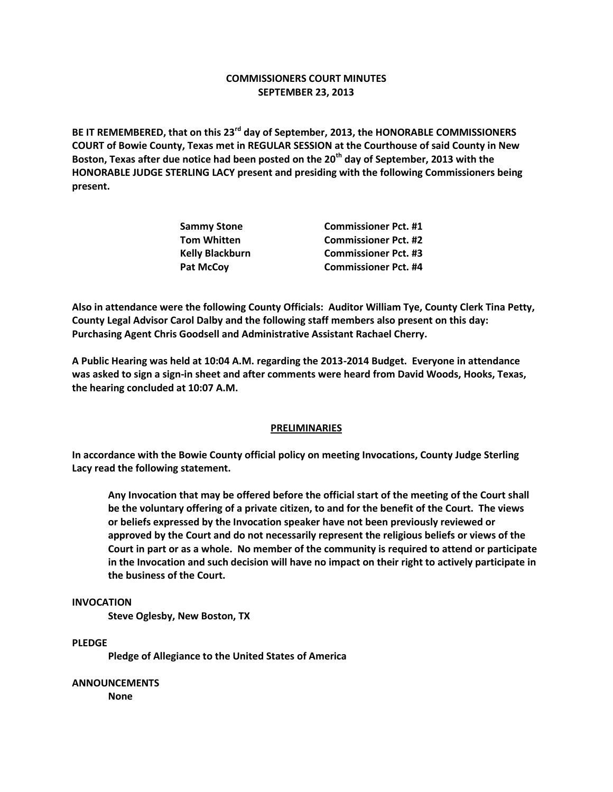## **COMMISSIONERS COURT MINUTES SEPTEMBER 23, 2013**

**BE IT REMEMBERED, that on this 23rd day of September, 2013, the HONORABLE COMMISSIONERS COURT of Bowie County, Texas met in REGULAR SESSION at the Courthouse of said County in New Boston, Texas after due notice had been posted on the 20th day of September, 2013 with the HONORABLE JUDGE STERLING LACY present and presiding with the following Commissioners being present.**

| <b>Sammy Stone</b>     | <b>Commissioner Pct. #1</b> |
|------------------------|-----------------------------|
| <b>Tom Whitten</b>     | <b>Commissioner Pct. #2</b> |
| <b>Kelly Blackburn</b> | <b>Commissioner Pct. #3</b> |
| <b>Pat McCov</b>       | <b>Commissioner Pct. #4</b> |

**Also in attendance were the following County Officials: Auditor William Tye, County Clerk Tina Petty, County Legal Advisor Carol Dalby and the following staff members also present on this day: Purchasing Agent Chris Goodsell and Administrative Assistant Rachael Cherry.**

**A Public Hearing was held at 10:04 A.M. regarding the 2013-2014 Budget. Everyone in attendance was asked to sign a sign-in sheet and after comments were heard from David Woods, Hooks, Texas, the hearing concluded at 10:07 A.M.**

#### **PRELIMINARIES**

**In accordance with the Bowie County official policy on meeting Invocations, County Judge Sterling Lacy read the following statement.**

**Any Invocation that may be offered before the official start of the meeting of the Court shall be the voluntary offering of a private citizen, to and for the benefit of the Court. The views or beliefs expressed by the Invocation speaker have not been previously reviewed or approved by the Court and do not necessarily represent the religious beliefs or views of the Court in part or as a whole. No member of the community is required to attend or participate in the Invocation and such decision will have no impact on their right to actively participate in the business of the Court.**

# **INVOCATION**

**Steve Oglesby, New Boston, TX**

# **PLEDGE**

**Pledge of Allegiance to the United States of America**

**ANNOUNCEMENTS None**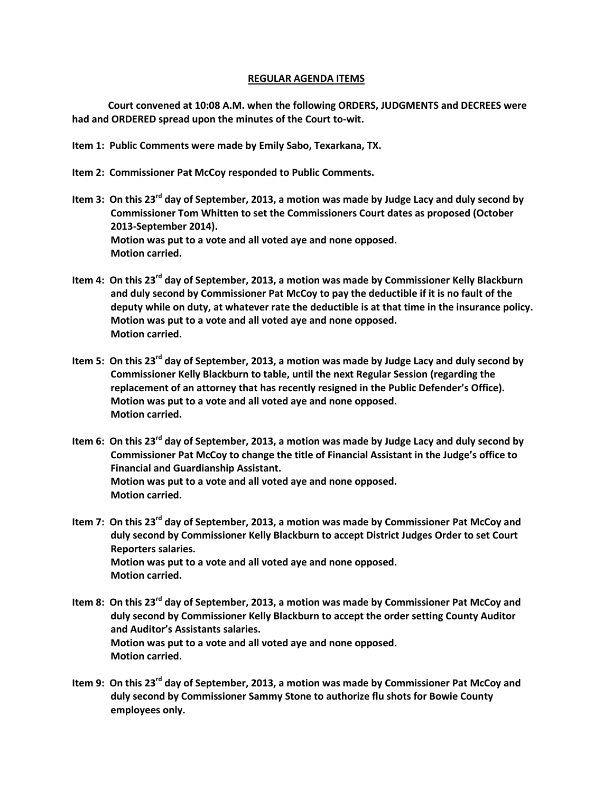#### **REGULAR AGENDA ITEMS**

**Court convened at 10:08 A.M. when the following ORDERS, JUDGMENTS and DECREES were had and ORDERED spread upon the minutes of the Court to-wit.**

**Item 1: Public Comments were made by Emily Sabo, Texarkana, TX.**

- **Item 2: Commissioner Pat McCoy responded to Public Comments.**
- **Item 3: On this 23rd day of September, 2013, a motion was made by Judge Lacy and duly second by Commissioner Tom Whitten to set the Commissioners Court dates as proposed (October 2013-September 2014). Motion was put to a vote and all voted aye and none opposed. Motion carried.**
- **Item 4: On this 23rd day of September, 2013, a motion was made by Commissioner Kelly Blackburn and duly second by Commissioner Pat McCoy to pay the deductible if it is no fault of the deputy while on duty, at whatever rate the deductible is at that time in the insurance policy. Motion was put to a vote and all voted aye and none opposed. Motion carried.**
- **Item 5: On this 23rd day of September, 2013, a motion was made by Judge Lacy and duly second by Commissioner Kelly Blackburn to table, until the next Regular Session (regarding the replacement of an attorney that has recently resigned in the Public Defender's Office). Motion was put to a vote and all voted aye and none opposed. Motion carried.**
- **Item 6: On this 23rd day of September, 2013, a motion was made by Judge Lacy and duly second by Commissioner Pat McCoy to change the title of Financial Assistant in the Judge's office to Financial and Guardianship Assistant. Motion was put to a vote and all voted aye and none opposed. Motion carried.**
- **Item 7: On this 23rd day of September, 2013, a motion was made by Commissioner Pat McCoy and duly second by Commissioner Kelly Blackburn to accept District Judges Order to set Court Reporters salaries. Motion was put to a vote and all voted aye and none opposed. Motion carried.**
- **Item 8: On this 23rd day of September, 2013, a motion was made by Commissioner Pat McCoy and duly second by Commissioner Kelly Blackburn to accept the order setting County Auditor and Auditor's Assistants salaries. Motion was put to a vote and all voted aye and none opposed. Motion carried.**
- **Item 9: On this 23rd day of September, 2013, a motion was made by Commissioner Pat McCoy and duly second by Commissioner Sammy Stone to authorize flu shots for Bowie County employees only.**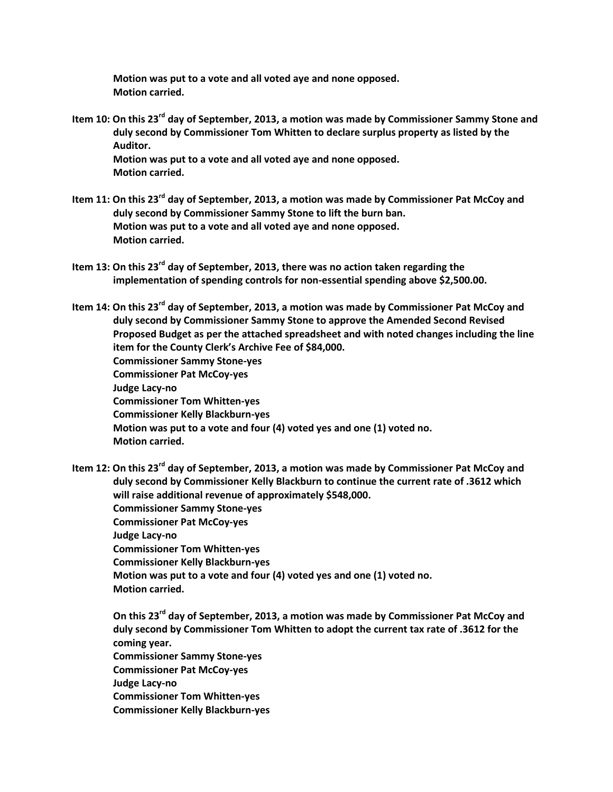**Motion was put to a vote and all voted aye and none opposed. Motion carried.**

- **Item 10: On this 23rd day of September, 2013, a motion was made by Commissioner Sammy Stone and duly second by Commissioner Tom Whitten to declare surplus property as listed by the Auditor. Motion was put to a vote and all voted aye and none opposed. Motion carried.**
- **Item 11: On this 23rd day of September, 2013, a motion was made by Commissioner Pat McCoy and duly second by Commissioner Sammy Stone to lift the burn ban. Motion was put to a vote and all voted aye and none opposed. Motion carried.**
- **Item 13: On this 23rd day of September, 2013, there was no action taken regarding the implementation of spending controls for non-essential spending above \$2,500.00.**

**Item 14: On this 23rd day of September, 2013, a motion was made by Commissioner Pat McCoy and duly second by Commissioner Sammy Stone to approve the Amended Second Revised Proposed Budget as per the attached spreadsheet and with noted changes including the line item for the County Clerk's Archive Fee of \$84,000. Commissioner Sammy Stone-yes Commissioner Pat McCoy-yes Judge Lacy-no Commissioner Tom Whitten-yes Commissioner Kelly Blackburn-yes Motion was put to a vote and four (4) voted yes and one (1) voted no. Motion carried.**

**Item 12: On this 23rd day of September, 2013, a motion was made by Commissioner Pat McCoy and duly second by Commissioner Kelly Blackburn to continue the current rate of .3612 which will raise additional revenue of approximately \$548,000. Commissioner Sammy Stone-yes Commissioner Pat McCoy-yes Judge Lacy-no Commissioner Tom Whitten-yes Commissioner Kelly Blackburn-yes Motion was put to a vote and four (4) voted yes and one (1) voted no. Motion carried.**

 **On this 23rd day of September, 2013, a motion was made by Commissioner Pat McCoy and duly second by Commissioner Tom Whitten to adopt the current tax rate of .3612 for the coming year. Commissioner Sammy Stone-yes Commissioner Pat McCoy-yes Judge Lacy-no Commissioner Tom Whitten-yes Commissioner Kelly Blackburn-yes**